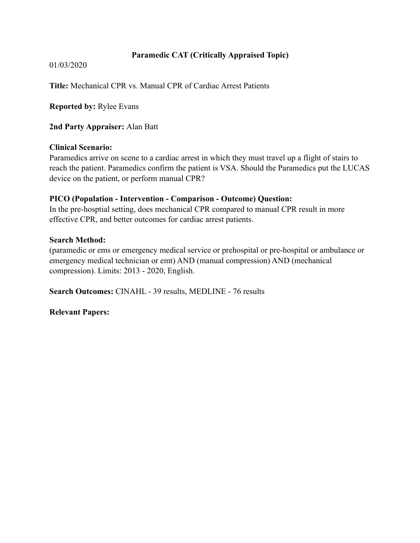# **Paramedic CAT (Critically Appraised Topic)**

01/03/2020

**Title:** Mechanical CPR vs. Manual CPR of Cardiac Arrest Patients

**Reported by:** Rylee Evans

**2nd Party Appraiser:** Alan Batt

### **Clinical Scenario:**

Paramedics arrive on scene to a cardiac arrest in which they must travel up a flight of stairs to reach the patient. Paramedics confirm the patient is VSA. Should the Paramedics put the LUCAS device on the patient, or perform manual CPR?

### **PICO (Population - Intervention - Comparison - Outcome) Question:**

In the pre-hosptial setting, does mechanical CPR compared to manual CPR result in more effective CPR, and better outcomes for cardiac arrest patients.

### **Search Method:**

(paramedic or ems or emergency medical service or prehospital or pre-hospital or ambulance or emergency medical technician or emt) AND (manual compression) AND (mechanical compression). Limits: 2013 - 2020, English.

**Search Outcomes:** CINAHL - 39 results, MEDLINE - 76 results

**Relevant Papers:**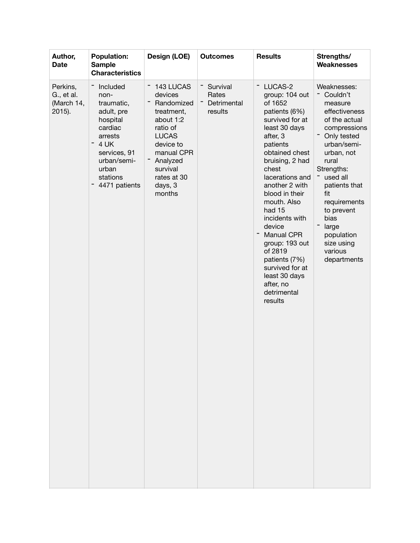| Author,<br><b>Date</b>                         | <b>Population:</b><br><b>Sample</b><br><b>Characteristics</b>                                                                                               | Design (LOE)                                                                                                                                                                     | <b>Outcomes</b>                                        | <b>Results</b>                                                                                                                                                                                                                                                                                                                                                                                                                 | Strengths/<br>Weaknesses                                                                                                                                                                                                                                                                                                     |
|------------------------------------------------|-------------------------------------------------------------------------------------------------------------------------------------------------------------|----------------------------------------------------------------------------------------------------------------------------------------------------------------------------------|--------------------------------------------------------|--------------------------------------------------------------------------------------------------------------------------------------------------------------------------------------------------------------------------------------------------------------------------------------------------------------------------------------------------------------------------------------------------------------------------------|------------------------------------------------------------------------------------------------------------------------------------------------------------------------------------------------------------------------------------------------------------------------------------------------------------------------------|
| Perkins,<br>G., et al.<br>(March 14,<br>2015). | Included<br>non-<br>traumatic,<br>adult, pre<br>hospital<br>cardiac<br>arrests<br>4 UK<br>services, 91<br>urban/semi-<br>urban<br>stations<br>4471 patients | 143 LUCAS<br>devices<br>Randomized<br>treatment,<br>about 1:2<br>ratio of<br><b>LUCAS</b><br>device to<br>manual CPR<br>Analyzed<br>survival<br>rates at 30<br>days, 3<br>months | Ξ<br>Survival<br>Rates<br>Detrimental<br>Ξ.<br>results | LUCAS-2<br>Ξ<br>group: 104 out<br>of 1652<br>patients (6%)<br>survived for at<br>least 30 days<br>after, 3<br>patients<br>obtained chest<br>bruising, 2 had<br>chest<br>lacerations and<br>another 2 with<br>blood in their<br>mouth. Also<br>had 15<br>incidents with<br>device<br><b>Manual CPR</b><br>group: 193 out<br>of 2819<br>patients (7%)<br>survived for at<br>least 30 days<br>after, no<br>detrimental<br>results | Weaknesses:<br>Couldn't<br>measure<br>effectiveness<br>of the actual<br>compressions<br>Only tested<br>urban/semi-<br>urban, not<br>rural<br>Strengths:<br>used all<br>patients that<br>fit<br>requirements<br>to prevent<br>bias<br>$\overline{\phantom{0}}$<br>large<br>population<br>size using<br>various<br>departments |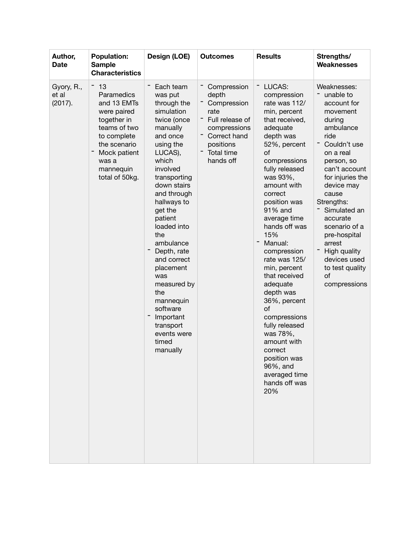| Author,<br><b>Date</b>         | <b>Population:</b><br><b>Sample</b><br><b>Characteristics</b>                                                                                                        | Design (LOE)                                                                                                                                                                                                                                                                                                                                                                                                               | <b>Outcomes</b>                                                                                                                        | <b>Results</b>                                                                                                                                                                                                                                                                                                                                                                                                                                                                                                                                  | Strengths/<br><b>Weaknesses</b>                                                                                                                                                                                                                                                                                                                                   |
|--------------------------------|----------------------------------------------------------------------------------------------------------------------------------------------------------------------|----------------------------------------------------------------------------------------------------------------------------------------------------------------------------------------------------------------------------------------------------------------------------------------------------------------------------------------------------------------------------------------------------------------------------|----------------------------------------------------------------------------------------------------------------------------------------|-------------------------------------------------------------------------------------------------------------------------------------------------------------------------------------------------------------------------------------------------------------------------------------------------------------------------------------------------------------------------------------------------------------------------------------------------------------------------------------------------------------------------------------------------|-------------------------------------------------------------------------------------------------------------------------------------------------------------------------------------------------------------------------------------------------------------------------------------------------------------------------------------------------------------------|
| Gyory, R.,<br>et al<br>(2017). | 13<br>Paramedics<br>and 13 EMTs<br>were paired<br>together in<br>teams of two<br>to complete<br>the scenario<br>Mock patient<br>was a<br>mannequin<br>total of 50kg. | Each team<br>was put<br>through the<br>simulation<br>twice (once<br>manually<br>and once<br>using the<br>LUCAS),<br>which<br>involved<br>transporting<br>down stairs<br>and through<br>hallways to<br>get the<br>patient<br>loaded into<br>the<br>ambulance<br>Depth, rate<br>and correct<br>placement<br>was<br>measured by<br>the<br>mannequin<br>software<br>Important<br>transport<br>events were<br>timed<br>manually | Compression<br>depth<br>Compression<br>rate<br>Full release of<br>compressions<br>Correct hand<br>positions<br>Total time<br>hands off | LUCAS:<br>Ξ<br>compression<br>rate was 112/<br>min, percent<br>that received,<br>adequate<br>depth was<br>52%, percent<br>of<br>compressions<br>fully released<br>was 93%,<br>amount with<br>correct<br>position was<br>91% and<br>average time<br>hands off was<br>15%<br>Manual:<br>compression<br>rate was 125/<br>min, percent<br>that received<br>adequate<br>depth was<br>36%, percent<br>of<br>compressions<br>fully released<br>was 78%,<br>amount with<br>correct<br>position was<br>96%, and<br>averaged time<br>hands off was<br>20% | Weaknesses:<br>unable to<br>account for<br>movement<br>during<br>ambulance<br>ride<br>Ξ<br>Couldn't use<br>on a real<br>person, so<br>can't account<br>for injuries the<br>device may<br>cause<br>Strengths:<br>Simulated an<br>accurate<br>scenario of a<br>pre-hospital<br>arrest<br>Ξ<br>High quality<br>devices used<br>to test quality<br>of<br>compressions |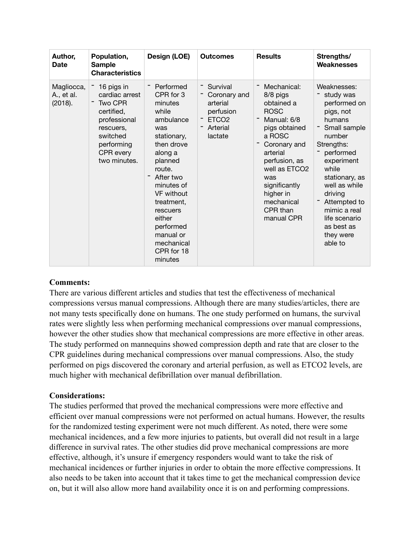| Author,<br><b>Date</b>              | Population,<br><b>Sample</b><br><b>Characteristics</b>                                                                                    | Design (LOE)                                                                                                                                                                                                                                                                     | <b>Outcomes</b>                                                                               | <b>Results</b>                                                                                                                                                                                                                                        | Strengths/<br><b>Weaknesses</b>                                                                                                                                                                                                                                                  |
|-------------------------------------|-------------------------------------------------------------------------------------------------------------------------------------------|----------------------------------------------------------------------------------------------------------------------------------------------------------------------------------------------------------------------------------------------------------------------------------|-----------------------------------------------------------------------------------------------|-------------------------------------------------------------------------------------------------------------------------------------------------------------------------------------------------------------------------------------------------------|----------------------------------------------------------------------------------------------------------------------------------------------------------------------------------------------------------------------------------------------------------------------------------|
| Magliocca,<br>A., et al.<br>(2018). | 16 pigs in<br>cardiac arrest<br>Two CPR<br>certified,<br>professional<br>rescuers,<br>switched<br>performing<br>CPR every<br>two minutes. | Performed<br>CPR for 3<br>minutes<br>while<br>ambulance<br>was<br>stationary,<br>then drove<br>along a<br>planned<br>route.<br>After two<br>minutes of<br><b>VF</b> without<br>treatment,<br>rescuers<br>either<br>performed<br>manual or<br>mechanical<br>CPR for 18<br>minutes | Survival<br>Coronary and<br>arterial<br>perfusion<br>ETCO <sub>2</sub><br>Arterial<br>lactate | Mechanical:<br>8/8 pigs<br>obtained a<br><b>ROSC</b><br>Manual: 6/8<br>pigs obtained<br>a ROSC<br>Coronary and<br>arterial<br>perfusion, as<br>well as ETCO <sub>2</sub><br>was<br>significantly<br>higher in<br>mechanical<br>CPR than<br>manual CPR | Weaknesses:<br>study was<br>performed on<br>pigs, not<br>humans<br>Small sample<br>number<br>Strengths:<br>performed<br>experiment<br>while<br>stationary, as<br>well as while<br>driving<br>Attempted to<br>mimic a real<br>life scenario<br>as best as<br>they were<br>able to |

### **Comments:**

There are various different articles and studies that test the effectiveness of mechanical compressions versus manual compressions. Although there are many studies/articles, there are not many tests specifically done on humans. The one study performed on humans, the survival rates were slightly less when performing mechanical compressions over manual compressions, however the other studies show that mechanical compressions are more effective in other areas. The study performed on mannequins showed compression depth and rate that are closer to the CPR guidelines during mechanical compressions over manual compressions. Also, the study performed on pigs discovered the coronary and arterial perfusion, as well as ETCO2 levels, are much higher with mechanical defibrillation over manual defibrillation.

# **Considerations:**

The studies performed that proved the mechanical compressions were more effective and efficient over manual compressions were not performed on actual humans. However, the results for the randomized testing experiment were not much different. As noted, there were some mechanical incidences, and a few more injuries to patients, but overall did not result in a large difference in survival rates. The other studies did prove mechanical compressions are more effective, although, it's unsure if emergency responders would want to take the risk of mechanical incidences or further injuries in order to obtain the more effective compressions. It also needs to be taken into account that it takes time to get the mechanical compression device on, but it will also allow more hand availability once it is on and performing compressions.